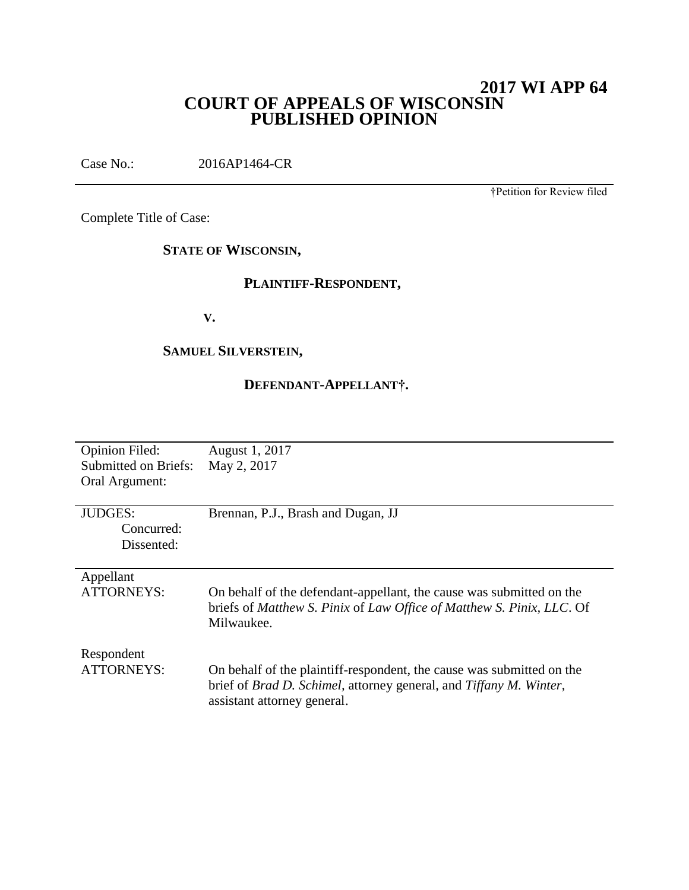## **2017 WI APP 64 COURT OF APPEALS OF WISCONSIN PUBLISHED OPINION**

Case No.: 2016AP1464-CR

†Petition for Review filed

Complete Title of Case:

## **STATE OF WISCONSIN,**

#### **PLAINTIFF-RESPONDENT,**

**V.**

## **SAMUEL SILVERSTEIN,**

## **DEFENDANT-APPELLANT†.**

| <b>Opinion Filed:</b>       | August 1, 2017                                                                     |
|-----------------------------|------------------------------------------------------------------------------------|
| <b>Submitted on Briefs:</b> | May 2, 2017                                                                        |
|                             |                                                                                    |
| Oral Argument:              |                                                                                    |
|                             |                                                                                    |
| <b>JUDGES:</b>              | Brennan, P.J., Brash and Dugan, JJ                                                 |
| Concurred:                  |                                                                                    |
|                             |                                                                                    |
| Dissented:                  |                                                                                    |
|                             |                                                                                    |
| Appellant                   |                                                                                    |
| ATTORNEYS:                  | On behalf of the defendant-appellant, the cause was submitted on the               |
|                             | briefs of Matthew S. Pinix of Law Office of Matthew S. Pinix, LLC. Of              |
|                             |                                                                                    |
|                             | Milwaukee.                                                                         |
|                             |                                                                                    |
| Respondent                  |                                                                                    |
| <b>ATTORNEYS:</b>           | On behalf of the plaintiff-respondent, the cause was submitted on the              |
|                             |                                                                                    |
|                             | brief of <i>Brad D. Schimel</i> , attorney general, and <i>Tiffany M. Winter</i> , |
|                             | assistant attorney general.                                                        |
|                             |                                                                                    |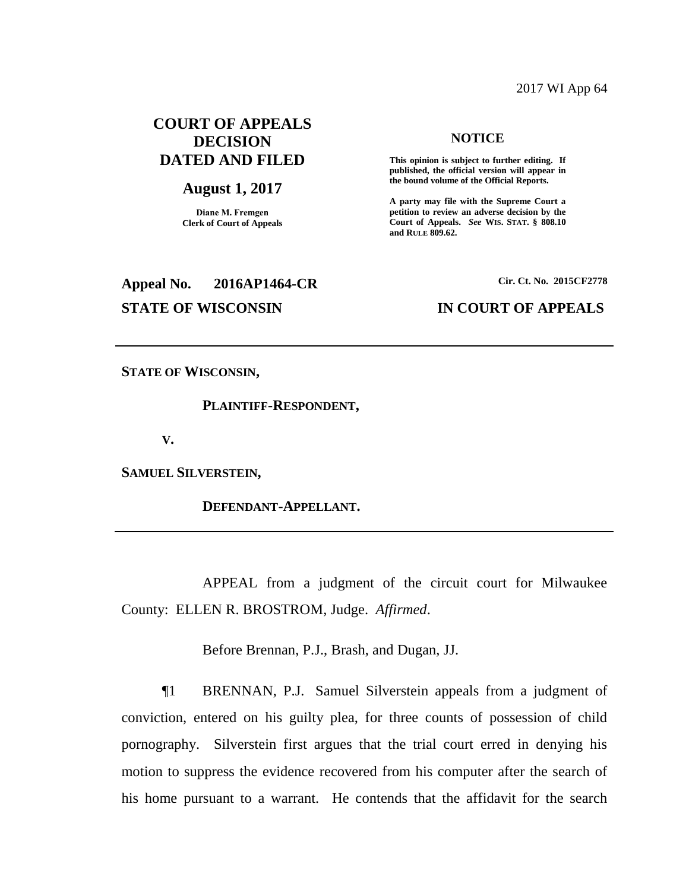#### 2017 WI App 64

## **COURT OF APPEALS DECISION DATED AND FILED**

#### **August 1, 2017**

**Diane M. Fremgen Clerk of Court of Appeals**

# **Appeal No. 2016AP1464-CR Cir. Ct. No. 2015CF2778 STATE OF WISCONSIN IN COURT OF APPEALS**

#### **NOTICE**

**This opinion is subject to further editing. If published, the official version will appear in the bound volume of the Official Reports.** 

**A party may file with the Supreme Court a petition to review an adverse decision by the Court of Appeals.** *See* **WIS. STAT. § 808.10 and RULE 809.62.** 

**STATE OF WISCONSIN,** 

**PLAINTIFF-RESPONDENT,**

**V.**

**SAMUEL SILVERSTEIN,** 

**DEFENDANT-APPELLANT.** 

APPEAL from a judgment of the circuit court for Milwaukee County: ELLEN R. BROSTROM, Judge. *Affirmed*.

Before Brennan, P.J., Brash, and Dugan, JJ.

¶1 BRENNAN, P.J. Samuel Silverstein appeals from a judgment of conviction, entered on his guilty plea, for three counts of possession of child pornography. Silverstein first argues that the trial court erred in denying his motion to suppress the evidence recovered from his computer after the search of his home pursuant to a warrant. He contends that the affidavit for the search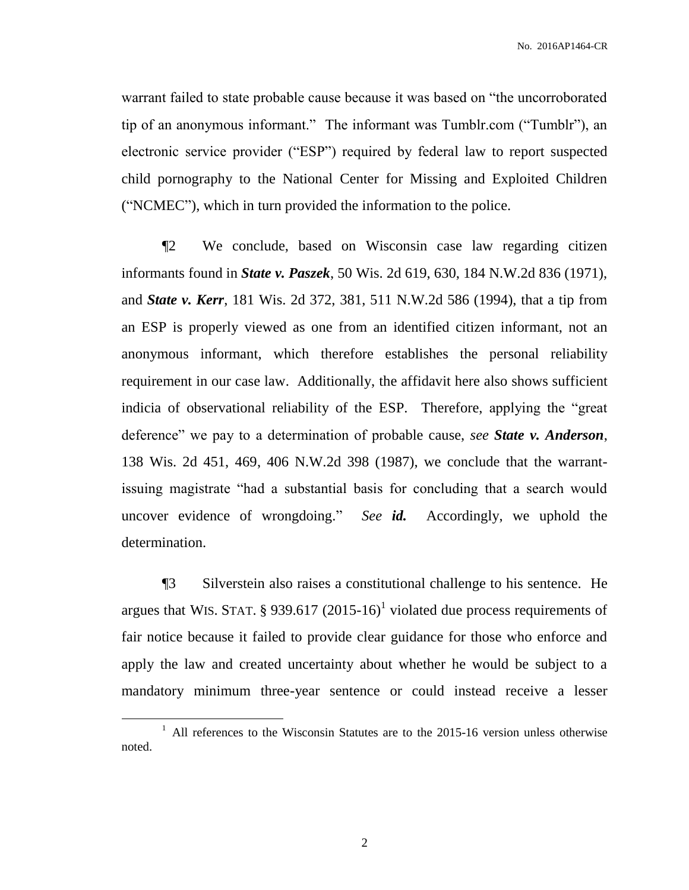warrant failed to state probable cause because it was based on "the uncorroborated tip of an anonymous informant." The informant was Tumblr.com ("Tumblr"), an electronic service provider ("ESP") required by federal law to report suspected child pornography to the National Center for Missing and Exploited Children ("NCMEC"), which in turn provided the information to the police.

¶2 We conclude, based on Wisconsin case law regarding citizen informants found in *State v. Paszek*, 50 Wis. 2d 619, 630, 184 N.W.2d 836 (1971), and *State v. Kerr*, 181 Wis. 2d 372, 381, 511 N.W.2d 586 (1994), that a tip from an ESP is properly viewed as one from an identified citizen informant, not an anonymous informant, which therefore establishes the personal reliability requirement in our case law. Additionally, the affidavit here also shows sufficient indicia of observational reliability of the ESP. Therefore, applying the "great deference" we pay to a determination of probable cause, *see State v. Anderson*, 138 Wis. 2d 451, 469, 406 N.W.2d 398 (1987), we conclude that the warrantissuing magistrate "had a substantial basis for concluding that a search would uncover evidence of wrongdoing." *See id.* Accordingly, we uphold the determination.

¶3 Silverstein also raises a constitutional challenge to his sentence. He argues that WIS. STAT. § 939.617 (2015-16)<sup>1</sup> violated due process requirements of fair notice because it failed to provide clear guidance for those who enforce and apply the law and created uncertainty about whether he would be subject to a mandatory minimum three-year sentence or could instead receive a lesser

 $\overline{a}$ 

<sup>&</sup>lt;sup>1</sup> All references to the Wisconsin Statutes are to the 2015-16 version unless otherwise noted.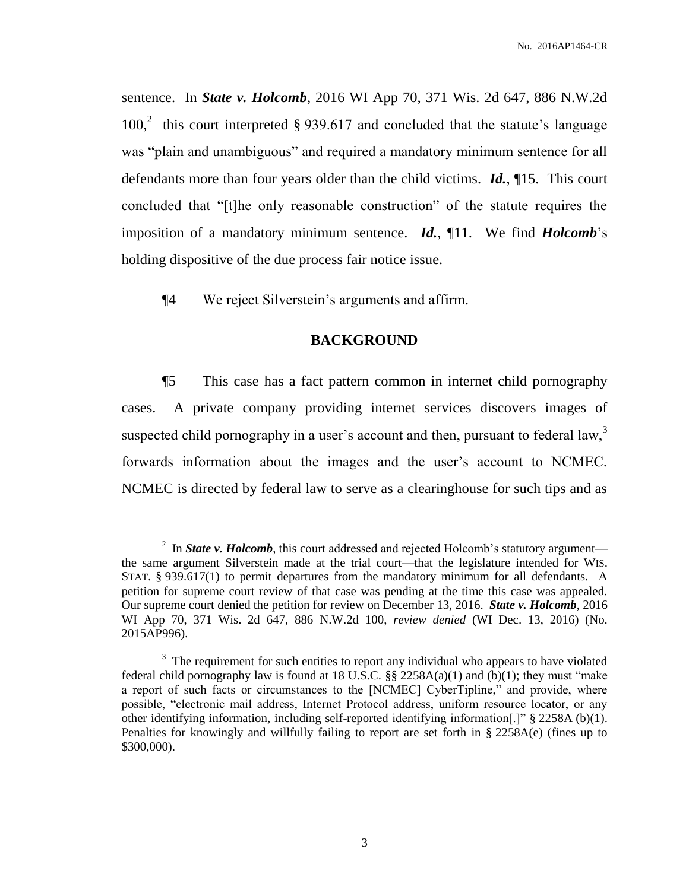sentence. In *State v. Holcomb*, 2016 WI App 70, 371 Wis. 2d 647, 886 N.W.2d 100,<sup>2</sup> this court interpreted § 939.617 and concluded that the statute's language was "plain and unambiguous" and required a mandatory minimum sentence for all defendants more than four years older than the child victims. *Id.*, ¶15. This court concluded that "[t]he only reasonable construction" of the statute requires the imposition of a mandatory minimum sentence. *Id.*, ¶11. We find *Holcomb*'s holding dispositive of the due process fair notice issue.

¶4 We reject Silverstein's arguments and affirm.

 $\overline{a}$ 

## **BACKGROUND**

¶5 This case has a fact pattern common in internet child pornography cases. A private company providing internet services discovers images of suspected child pornography in a user's account and then, pursuant to federal  $\text{law}^3$ , forwards information about the images and the user's account to NCMEC. NCMEC is directed by federal law to serve as a clearinghouse for such tips and as

<sup>&</sup>lt;sup>2</sup> In *State v. Holcomb*, this court addressed and rejected Holcomb's statutory argument the same argument Silverstein made at the trial court—that the legislature intended for WIS. STAT. § 939.617(1) to permit departures from the mandatory minimum for all defendants. A petition for supreme court review of that case was pending at the time this case was appealed. Our supreme court denied the petition for review on December 13, 2016. *State v. Holcomb*, 2016 WI App 70, 371 Wis. 2d 647, 886 N.W.2d 100, *review denied* (WI Dec. 13, 2016) (No. 2015AP996).

 $3$  The requirement for such entities to report any individual who appears to have violated federal child pornography law is found at 18 U.S.C.  $\S$  2258A(a)(1) and (b)(1); they must "make a report of such facts or circumstances to the [NCMEC] CyberTipline," and provide, where possible, "electronic mail address, Internet Protocol address, uniform resource locator, or any other identifying information, including self-reported identifying information[.]" § 2258A (b)(1). Penalties for knowingly and willfully failing to report are set forth in § 2258A(e) (fines up to \$300,000).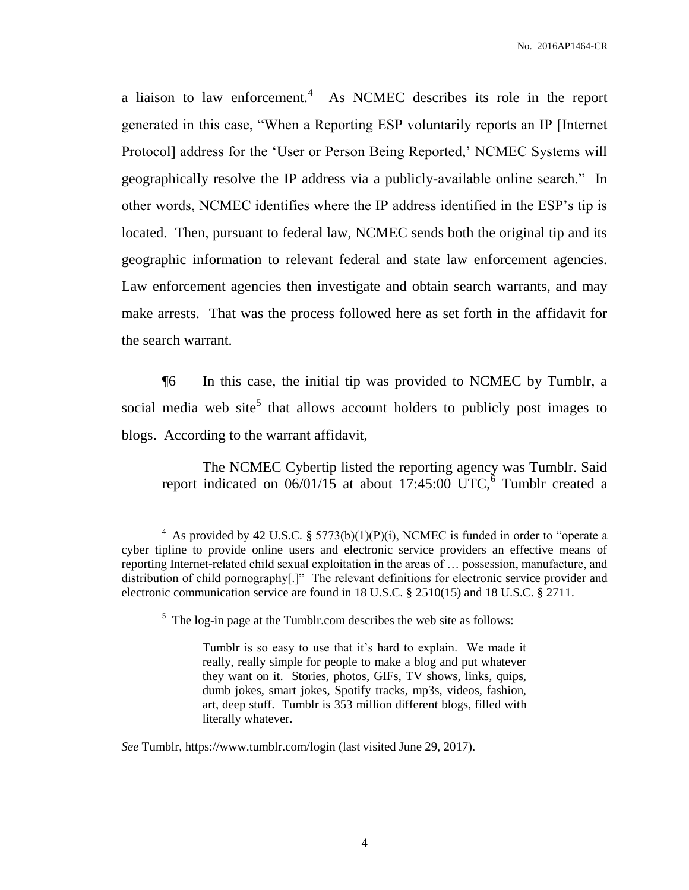a liaison to law enforcement.<sup>4</sup> As NCMEC describes its role in the report generated in this case, "When a Reporting ESP voluntarily reports an IP [Internet Protocol] address for the 'User or Person Being Reported,' NCMEC Systems will geographically resolve the IP address via a publicly-available online search." In other words, NCMEC identifies where the IP address identified in the ESP's tip is located. Then, pursuant to federal law, NCMEC sends both the original tip and its geographic information to relevant federal and state law enforcement agencies. Law enforcement agencies then investigate and obtain search warrants, and may make arrests. That was the process followed here as set forth in the affidavit for the search warrant.

¶6 In this case, the initial tip was provided to NCMEC by Tumblr, a social media web site<sup>5</sup> that allows account holders to publicly post images to blogs. According to the warrant affidavit,

The NCMEC Cybertip listed the reporting agency was Tumblr. Said report indicated on  $06/01/15$  at about 17:45:00 UTC,  $6$  Tumblr created a

<sup>&</sup>lt;sup>4</sup> As provided by 42 U.S.C. § 5773(b)(1)(P)(i), NCMEC is funded in order to "operate a cyber tipline to provide online users and electronic service providers an effective means of reporting Internet-related child sexual exploitation in the areas of … possession, manufacture, and distribution of child pornography[.]" The relevant definitions for electronic service provider and electronic communication service are found in 18 U.S.C. § 2510(15) and 18 U.S.C. § 2711.

<sup>&</sup>lt;sup>5</sup> The log-in page at the Tumblr.com describes the web site as follows:

Tumblr is so easy to use that it's hard to explain. We made it really, really simple for people to make a blog and put whatever they want on it. Stories, photos, GIFs, TV shows, links, quips, dumb jokes, smart jokes, Spotify tracks, mp3s, videos, fashion, art, deep stuff. Tumblr is 353 million different blogs, filled with literally whatever.

*See* Tumblr, https://www.tumblr.com/login (last visited June 29, 2017).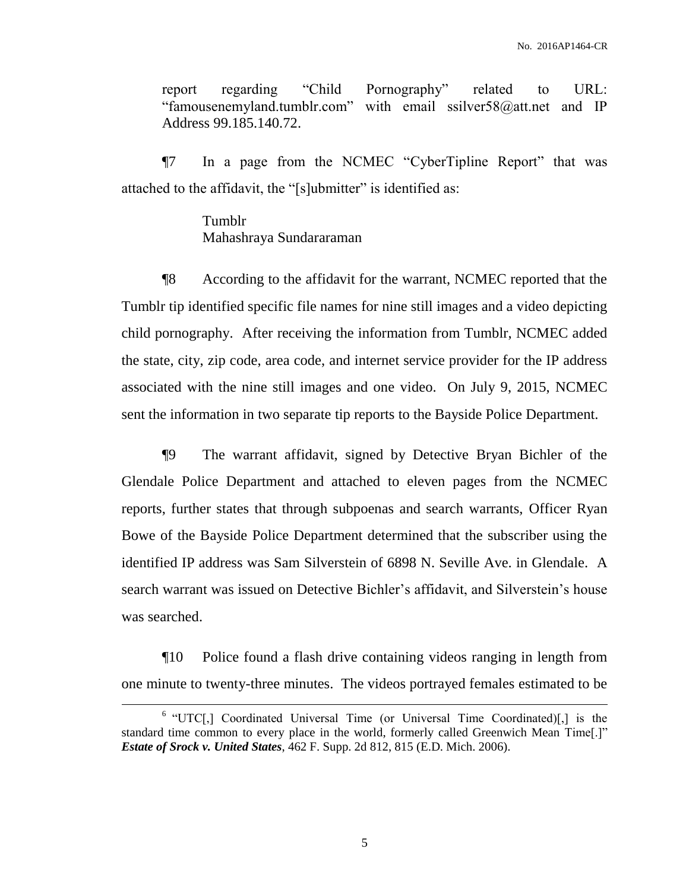report regarding "Child Pornography" related to URL: "famousenemyland.tumblr.com" with email ssilver58@att.net and IP Address 99.185.140.72.

¶7 In a page from the NCMEC "CyberTipline Report" that was attached to the affidavit, the "[s]ubmitter" is identified as:

> Tumblr Mahashraya Sundararaman

¶8 According to the affidavit for the warrant, NCMEC reported that the Tumblr tip identified specific file names for nine still images and a video depicting child pornography. After receiving the information from Tumblr, NCMEC added the state, city, zip code, area code, and internet service provider for the IP address associated with the nine still images and one video. On July 9, 2015, NCMEC sent the information in two separate tip reports to the Bayside Police Department.

¶9 The warrant affidavit, signed by Detective Bryan Bichler of the Glendale Police Department and attached to eleven pages from the NCMEC reports, further states that through subpoenas and search warrants, Officer Ryan Bowe of the Bayside Police Department determined that the subscriber using the identified IP address was Sam Silverstein of 6898 N. Seville Ave. in Glendale. A search warrant was issued on Detective Bichler's affidavit, and Silverstein's house was searched.

¶10 Police found a flash drive containing videos ranging in length from one minute to twenty-three minutes. The videos portrayed females estimated to be

 $\overline{a}$ 

<sup>&</sup>lt;sup>6</sup> "UTC[,] Coordinated Universal Time (or Universal Time Coordinated)[,] is the standard time common to every place in the world, formerly called Greenwich Mean Time[.]" *Estate of Srock v. United States*, 462 F. Supp. 2d 812, 815 (E.D. Mich. 2006).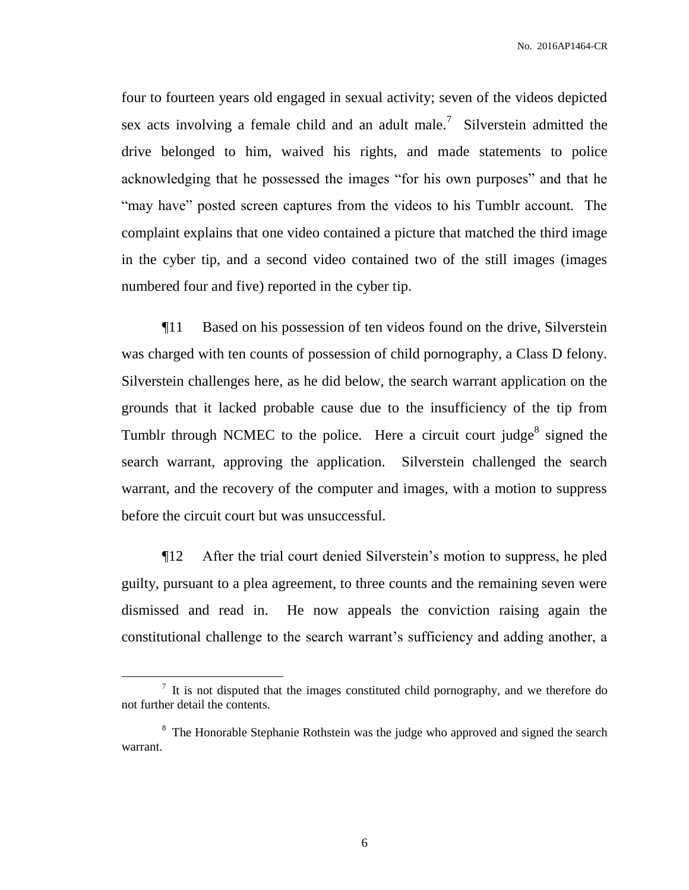four to fourteen years old engaged in sexual activity; seven of the videos depicted sex acts involving a female child and an adult male.<sup>7</sup> Silverstein admitted the drive belonged to him, waived his rights, and made statements to police acknowledging that he possessed the images "for his own purposes" and that he "may have" posted screen captures from the videos to his Tumblr account. The complaint explains that one video contained a picture that matched the third image in the cyber tip, and a second video contained two of the still images (images numbered four and five) reported in the cyber tip.

¶11 Based on his possession of ten videos found on the drive, Silverstein was charged with ten counts of possession of child pornography, a Class D felony. Silverstein challenges here, as he did below, the search warrant application on the grounds that it lacked probable cause due to the insufficiency of the tip from Tumblr through NCMEC to the police. Here a circuit court judge<sup>8</sup> signed the search warrant, approving the application. Silverstein challenged the search warrant, and the recovery of the computer and images, with a motion to suppress before the circuit court but was unsuccessful.

¶12 After the trial court denied Silverstein's motion to suppress, he pled guilty, pursuant to a plea agreement, to three counts and the remaining seven were dismissed and read in. He now appeals the conviction raising again the constitutional challenge to the search warrant's sufficiency and adding another, a

 $<sup>7</sup>$  It is not disputed that the images constituted child pornography, and we therefore do</sup> not further detail the contents.

<sup>&</sup>lt;sup>8</sup> The Honorable Stephanie Rothstein was the judge who approved and signed the search warrant.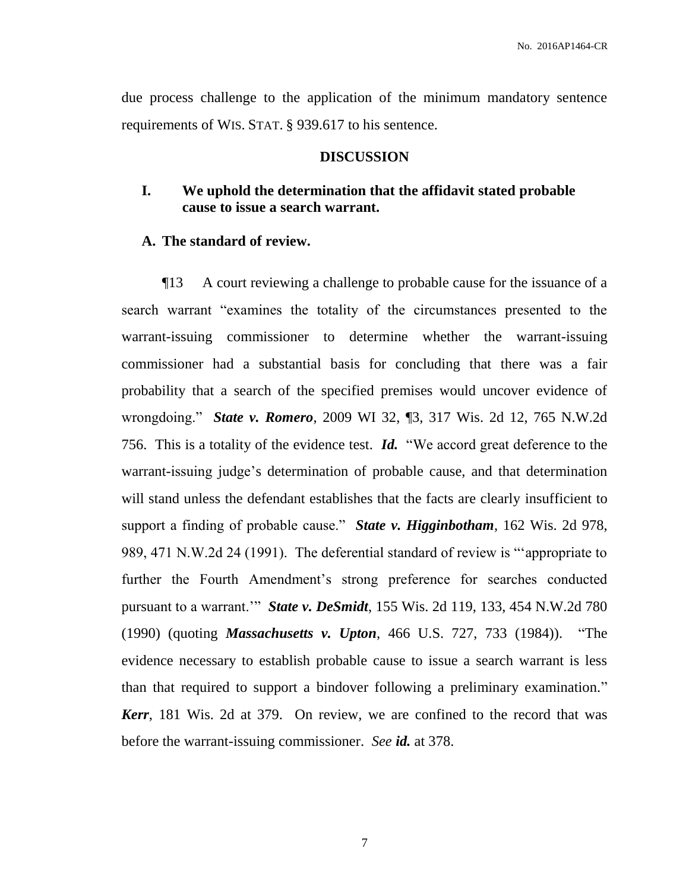due process challenge to the application of the minimum mandatory sentence requirements of WIS. STAT. § 939.617 to his sentence.

#### **DISCUSSION**

## **I. We uphold the determination that the affidavit stated probable cause to issue a search warrant.**

#### **A. The standard of review.**

¶13 A court reviewing a challenge to probable cause for the issuance of a search warrant "examines the totality of the circumstances presented to the warrant-issuing commissioner to determine whether the warrant-issuing commissioner had a substantial basis for concluding that there was a fair probability that a search of the specified premises would uncover evidence of wrongdoing." *State v. Romero*, 2009 WI 32, ¶3, 317 Wis. 2d 12, 765 N.W.2d 756. This is a totality of the evidence test. *Id.* "We accord great deference to the warrant-issuing judge's determination of probable cause, and that determination will stand unless the defendant establishes that the facts are clearly insufficient to support a finding of probable cause." *State v. Higginbotham*, 162 Wis. 2d 978, 989, 471 N.W.2d 24 (1991). The deferential standard of review is "'appropriate to further the Fourth Amendment's strong preference for searches conducted pursuant to a warrant.'" *State v. DeSmidt*, 155 Wis. 2d 119, 133, 454 N.W.2d 780 (1990) (quoting *Massachusetts v. Upton*, 466 U.S. 727, 733 (1984)). "The evidence necessary to establish probable cause to issue a search warrant is less than that required to support a bindover following a preliminary examination." *Kerr*, 181 Wis. 2d at 379. On review, we are confined to the record that was before the warrant-issuing commissioner. *See id.* at 378.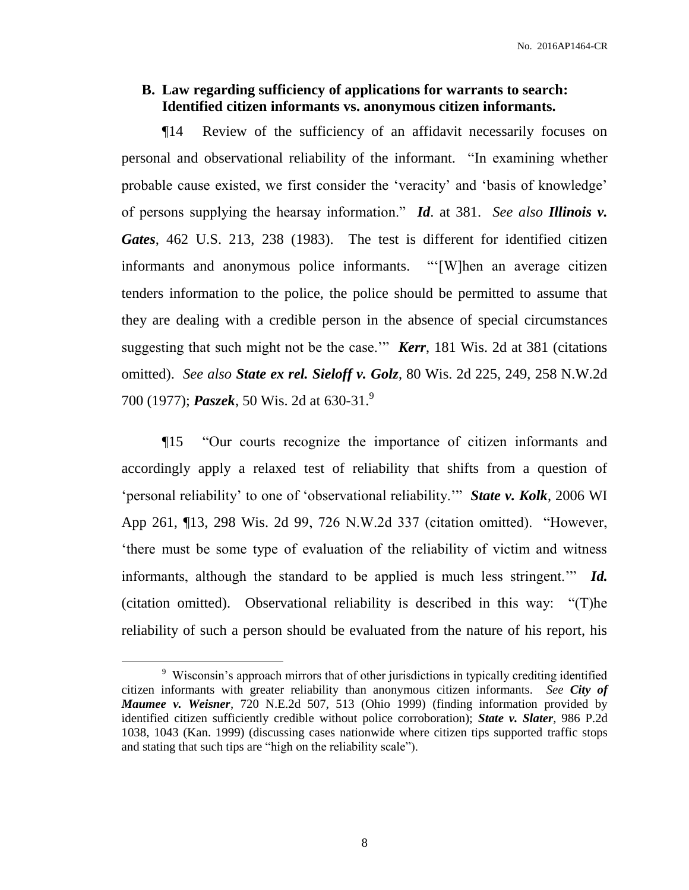## **B. Law regarding sufficiency of applications for warrants to search: Identified citizen informants vs. anonymous citizen informants.**

¶14 Review of the sufficiency of an affidavit necessarily focuses on personal and observational reliability of the informant. "In examining whether probable cause existed, we first consider the 'veracity' and 'basis of knowledge' of persons supplying the hearsay information." *Id*. at 381. *See also Illinois v. Gates*, 462 U.S. 213, 238 (1983). The test is different for identified citizen informants and anonymous police informants. "'[W]hen an average citizen tenders information to the police, the police should be permitted to assume that they are dealing with a credible person in the absence of special circumstances suggesting that such might not be the case.'" *Kerr*, 181 Wis. 2d at 381 (citations omitted). *See also State ex rel. Sieloff v. Golz*, 80 Wis. 2d 225, 249, 258 N.W.2d 700 (1977); *Paszek*, 50 Wis. 2d at 630-31.<sup>9</sup>

¶15 "Our courts recognize the importance of citizen informants and accordingly apply a relaxed test of reliability that shifts from a question of 'personal reliability' to one of 'observational reliability.'" *State v. Kolk*, 2006 WI App 261, ¶13, 298 Wis. 2d 99, 726 N.W.2d 337 (citation omitted). "However, 'there must be some type of evaluation of the reliability of victim and witness informants, although the standard to be applied is much less stringent.'" *Id.* (citation omitted). Observational reliability is described in this way: "(T)he reliability of such a person should be evaluated from the nature of his report, his

<sup>&</sup>lt;sup>9</sup> Wisconsin's approach mirrors that of other jurisdictions in typically crediting identified citizen informants with greater reliability than anonymous citizen informants. *See City of Maumee v. Weisner*, 720 N.E.2d 507, 513 (Ohio 1999) (finding information provided by identified citizen sufficiently credible without police corroboration); *State v. Slater*, 986 P.2d 1038, 1043 (Kan. 1999) (discussing cases nationwide where citizen tips supported traffic stops and stating that such tips are "high on the reliability scale").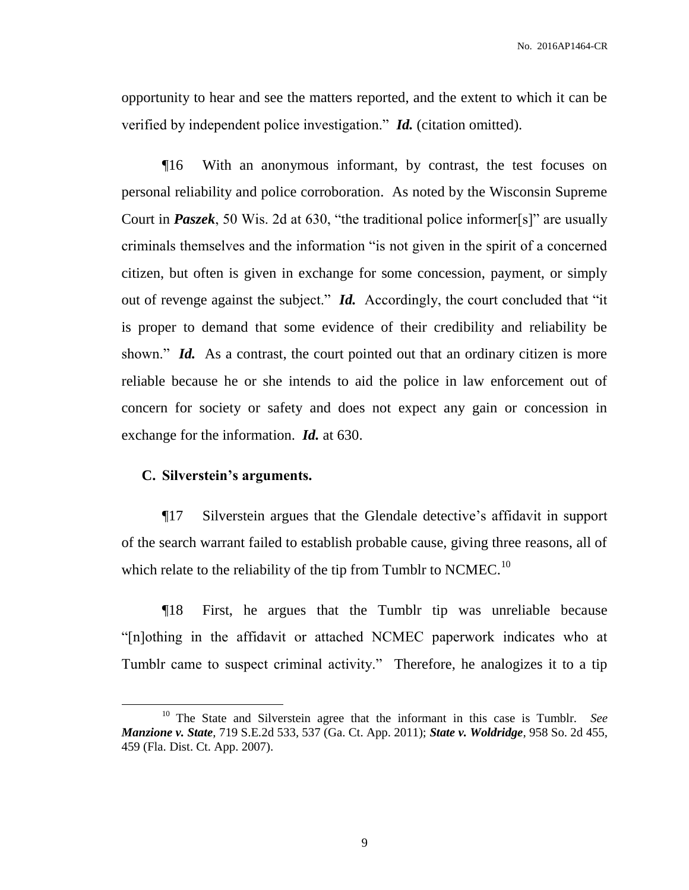opportunity to hear and see the matters reported, and the extent to which it can be verified by independent police investigation." *Id.* (citation omitted).

¶16 With an anonymous informant, by contrast, the test focuses on personal reliability and police corroboration. As noted by the Wisconsin Supreme Court in *Paszek*, 50 Wis. 2d at 630, "the traditional police informer[s]" are usually criminals themselves and the information "is not given in the spirit of a concerned citizen, but often is given in exchange for some concession, payment, or simply out of revenge against the subject." *Id.* Accordingly, the court concluded that "it is proper to demand that some evidence of their credibility and reliability be shown." *Id.* As a contrast, the court pointed out that an ordinary citizen is more reliable because he or she intends to aid the police in law enforcement out of concern for society or safety and does not expect any gain or concession in exchange for the information. *Id.* at 630.

#### **C. Silverstein's arguments.**

 $\overline{a}$ 

¶17 Silverstein argues that the Glendale detective's affidavit in support of the search warrant failed to establish probable cause, giving three reasons, all of which relate to the reliability of the tip from Tumblr to NCMEC.<sup>10</sup>

¶18 First, he argues that the Tumblr tip was unreliable because "[n]othing in the affidavit or attached NCMEC paperwork indicates who at Tumblr came to suspect criminal activity." Therefore, he analogizes it to a tip

<sup>10</sup> The State and Silverstein agree that the informant in this case is Tumblr. *See Manzione v. State*, 719 S.E.2d 533, 537 (Ga. Ct. App. 2011); *State v. Woldridge*, 958 So. 2d 455, 459 (Fla. Dist. Ct. App. 2007).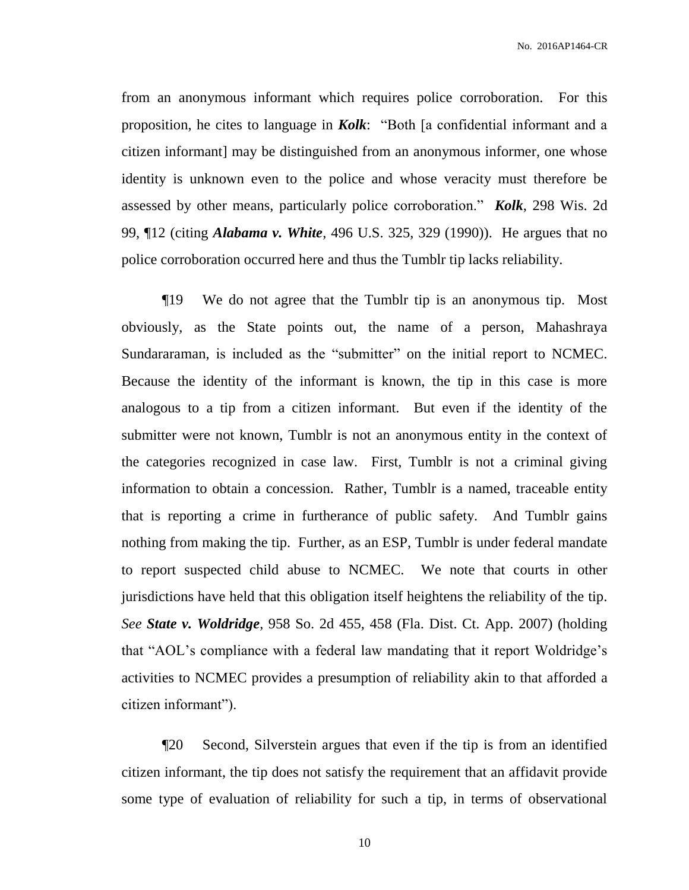from an anonymous informant which requires police corroboration. For this proposition, he cites to language in *Kolk*: "Both [a confidential informant and a citizen informant] may be distinguished from an anonymous informer, one whose identity is unknown even to the police and whose veracity must therefore be assessed by other means, particularly police corroboration." *Kolk*, 298 Wis. 2d 99, ¶12 (citing *Alabama v. White*, 496 U.S. 325, 329 (1990)). He argues that no police corroboration occurred here and thus the Tumblr tip lacks reliability.

¶19 We do not agree that the Tumblr tip is an anonymous tip. Most obviously, as the State points out, the name of a person, Mahashraya Sundararaman, is included as the "submitter" on the initial report to NCMEC. Because the identity of the informant is known, the tip in this case is more analogous to a tip from a citizen informant. But even if the identity of the submitter were not known, Tumblr is not an anonymous entity in the context of the categories recognized in case law. First, Tumblr is not a criminal giving information to obtain a concession. Rather, Tumblr is a named, traceable entity that is reporting a crime in furtherance of public safety. And Tumblr gains nothing from making the tip. Further, as an ESP, Tumblr is under federal mandate to report suspected child abuse to NCMEC. We note that courts in other jurisdictions have held that this obligation itself heightens the reliability of the tip. *See State v. Woldridge*, 958 So. 2d 455, 458 (Fla. Dist. Ct. App. 2007) (holding that "AOL's compliance with a federal law mandating that it report Woldridge's activities to NCMEC provides a presumption of reliability akin to that afforded a citizen informant").

¶20 Second, Silverstein argues that even if the tip is from an identified citizen informant, the tip does not satisfy the requirement that an affidavit provide some type of evaluation of reliability for such a tip, in terms of observational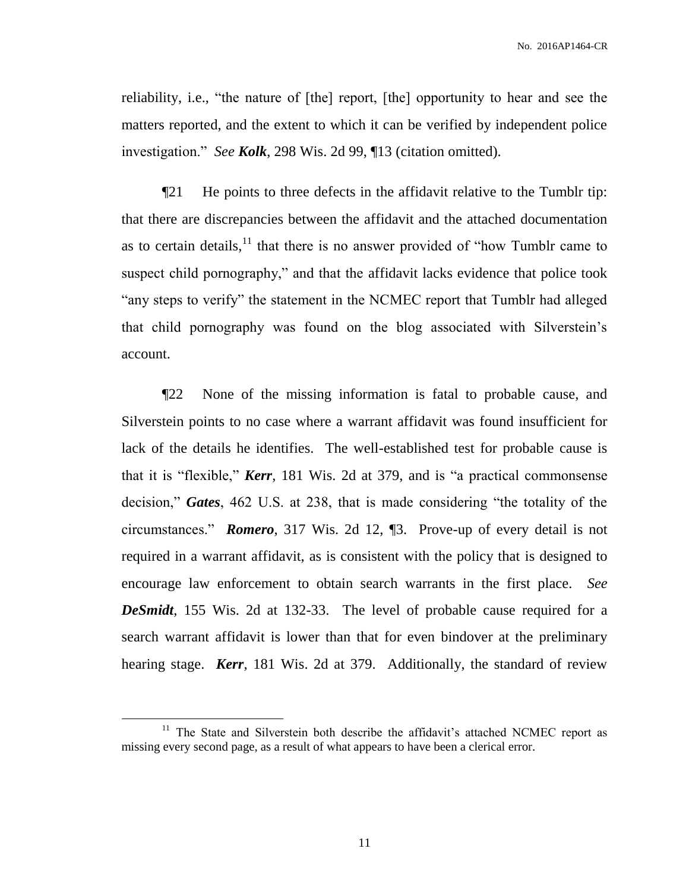reliability, i.e., "the nature of [the] report, [the] opportunity to hear and see the matters reported, and the extent to which it can be verified by independent police investigation." *See Kolk*, 298 Wis. 2d 99, ¶13 (citation omitted).

¶21 He points to three defects in the affidavit relative to the Tumblr tip: that there are discrepancies between the affidavit and the attached documentation as to certain details, $11$  that there is no answer provided of "how Tumblr came to suspect child pornography," and that the affidavit lacks evidence that police took "any steps to verify" the statement in the NCMEC report that Tumblr had alleged that child pornography was found on the blog associated with Silverstein's account.

¶22 None of the missing information is fatal to probable cause, and Silverstein points to no case where a warrant affidavit was found insufficient for lack of the details he identifies. The well-established test for probable cause is that it is "flexible," *Kerr*, 181 Wis. 2d at 379, and is "a practical commonsense decision," *Gates*, 462 U.S. at 238, that is made considering "the totality of the circumstances." *Romero*, 317 Wis. 2d 12, ¶3. Prove-up of every detail is not required in a warrant affidavit, as is consistent with the policy that is designed to encourage law enforcement to obtain search warrants in the first place. *See DeSmidt*, 155 Wis. 2d at 132-33. The level of probable cause required for a search warrant affidavit is lower than that for even bindover at the preliminary hearing stage. *Kerr*, 181 Wis. 2d at 379. Additionally, the standard of review

<sup>&</sup>lt;sup>11</sup> The State and Silverstein both describe the affidavit's attached NCMEC report as missing every second page, as a result of what appears to have been a clerical error.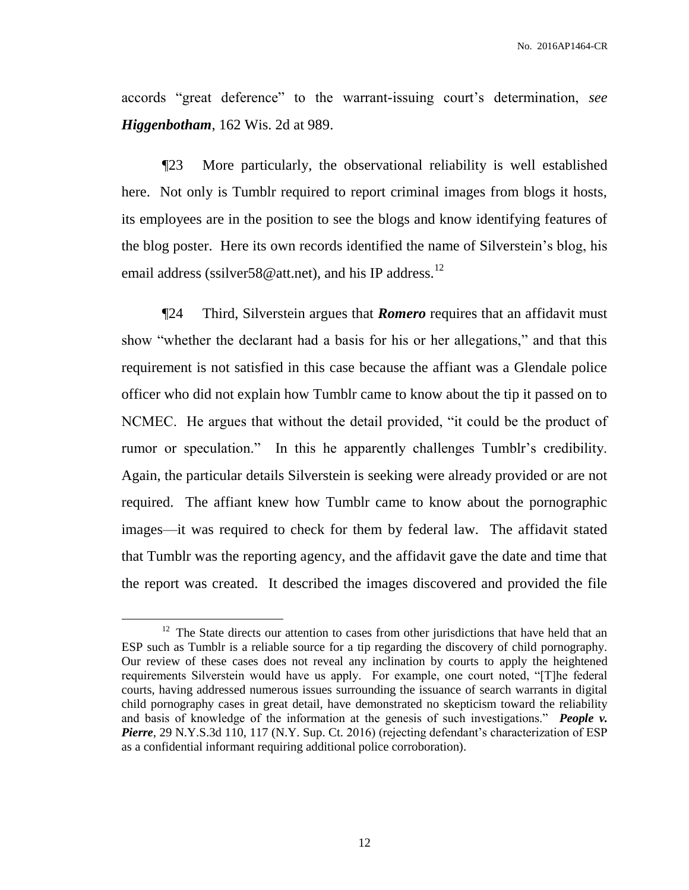accords "great deference" to the warrant-issuing court's determination, *see Higgenbotham*, 162 Wis. 2d at 989.

¶23 More particularly, the observational reliability is well established here. Not only is Tumblr required to report criminal images from blogs it hosts, its employees are in the position to see the blogs and know identifying features of the blog poster. Here its own records identified the name of Silverstein's blog, his email address (ssilver  $58@$  att.net), and his IP address.<sup>12</sup>

¶24 Third, Silverstein argues that *Romero* requires that an affidavit must show "whether the declarant had a basis for his or her allegations," and that this requirement is not satisfied in this case because the affiant was a Glendale police officer who did not explain how Tumblr came to know about the tip it passed on to NCMEC. He argues that without the detail provided, "it could be the product of rumor or speculation." In this he apparently challenges Tumblr's credibility. Again, the particular details Silverstein is seeking were already provided or are not required. The affiant knew how Tumblr came to know about the pornographic images—it was required to check for them by federal law. The affidavit stated that Tumblr was the reporting agency, and the affidavit gave the date and time that the report was created. It described the images discovered and provided the file

 $12$  The State directs our attention to cases from other jurisdictions that have held that an ESP such as Tumblr is a reliable source for a tip regarding the discovery of child pornography. Our review of these cases does not reveal any inclination by courts to apply the heightened requirements Silverstein would have us apply. For example, one court noted, "[T]he federal courts, having addressed numerous issues surrounding the issuance of search warrants in digital child pornography cases in great detail, have demonstrated no skepticism toward the reliability and basis of knowledge of the information at the genesis of such investigations." *People v. Pierre*, 29 N.Y.S.3d 110, 117 (N.Y. Sup. Ct. 2016) (rejecting defendant's characterization of ESP as a confidential informant requiring additional police corroboration).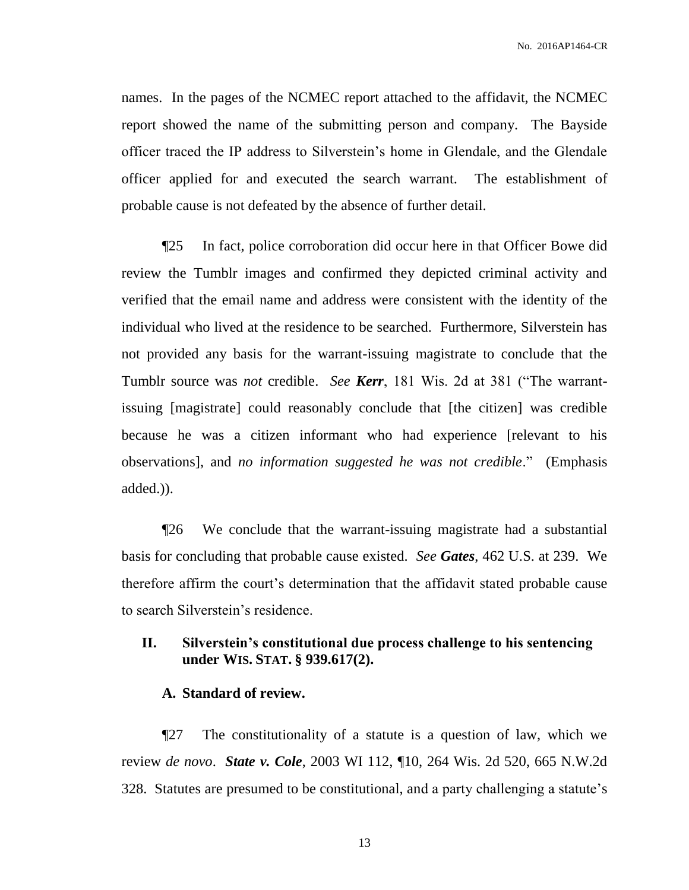names. In the pages of the NCMEC report attached to the affidavit, the NCMEC report showed the name of the submitting person and company. The Bayside officer traced the IP address to Silverstein's home in Glendale, and the Glendale officer applied for and executed the search warrant. The establishment of probable cause is not defeated by the absence of further detail.

¶25 In fact, police corroboration did occur here in that Officer Bowe did review the Tumblr images and confirmed they depicted criminal activity and verified that the email name and address were consistent with the identity of the individual who lived at the residence to be searched. Furthermore, Silverstein has not provided any basis for the warrant-issuing magistrate to conclude that the Tumblr source was *not* credible. *See Kerr*, 181 Wis. 2d at 381 ("The warrantissuing [magistrate] could reasonably conclude that [the citizen] was credible because he was a citizen informant who had experience [relevant to his observations], and *no information suggested he was not credible*." (Emphasis added.)).

¶26 We conclude that the warrant-issuing magistrate had a substantial basis for concluding that probable cause existed. *See Gates*, 462 U.S. at 239. We therefore affirm the court's determination that the affidavit stated probable cause to search Silverstein's residence.

## **II. Silverstein's constitutional due process challenge to his sentencing under WIS. STAT. § 939.617(2).**

## **A. Standard of review.**

¶27 The constitutionality of a statute is a question of law, which we review *de novo*. *State v. Cole*, 2003 WI 112, ¶10, 264 Wis. 2d 520, 665 N.W.2d 328. Statutes are presumed to be constitutional, and a party challenging a statute's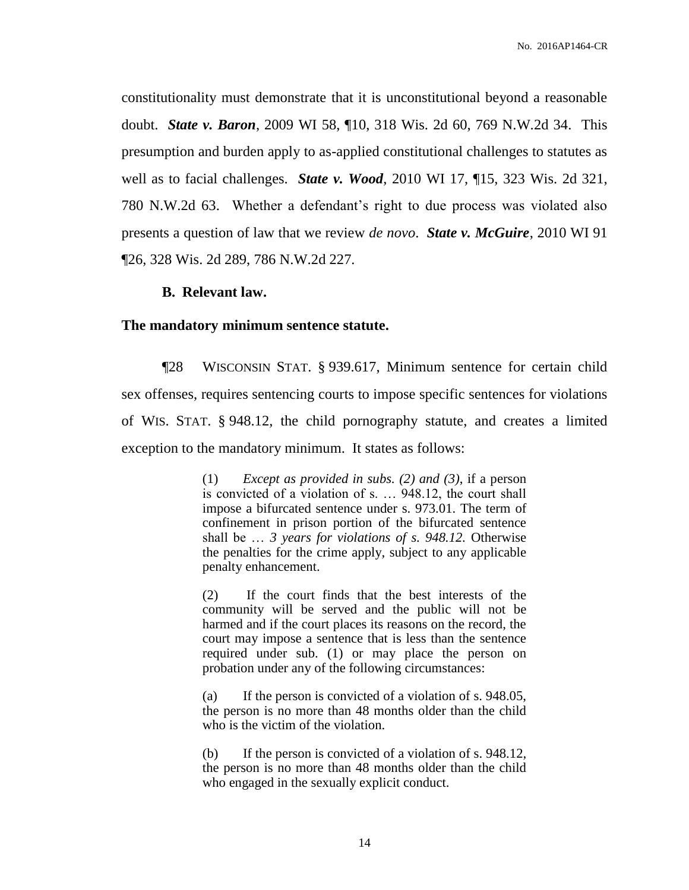constitutionality must demonstrate that it is unconstitutional beyond a reasonable doubt. *State v. Baron*, 2009 WI 58, ¶10, 318 Wis. 2d 60, 769 N.W.2d 34. This presumption and burden apply to as-applied constitutional challenges to statutes as well as to facial challenges. *State v. Wood*, 2010 WI 17, ¶15, 323 Wis. 2d 321, 780 N.W.2d 63. Whether a defendant's right to due process was violated also presents a question of law that we review *de novo*. *State v. McGuire*, 2010 WI 91 ¶26, 328 Wis. 2d 289, 786 N.W.2d 227.

#### **B. Relevant law.**

#### **The mandatory minimum sentence statute.**

¶28 WISCONSIN STAT. § 939.617, Minimum sentence for certain child sex offenses, requires sentencing courts to impose specific sentences for violations of WIS. STAT. § 948.12, the child pornography statute, and creates a limited exception to the mandatory minimum. It states as follows:

> (1) *Except as provided in subs. (2) and (3)*, if a person is convicted of a violation of s. … 948.12, the court shall impose a bifurcated sentence under s. 973.01. The term of confinement in prison portion of the bifurcated sentence shall be … *3 years for violations of s. 948.12.* Otherwise the penalties for the crime apply, subject to any applicable penalty enhancement.

> (2) If the court finds that the best interests of the community will be served and the public will not be harmed and if the court places its reasons on the record, the court may impose a sentence that is less than the sentence required under sub. (1) or may place the person on probation under any of the following circumstances:

> (a) If the person is convicted of a violation of s. 948.05, the person is no more than 48 months older than the child who is the victim of the violation.

> (b) If the person is convicted of a violation of s. 948.12, the person is no more than 48 months older than the child who engaged in the sexually explicit conduct.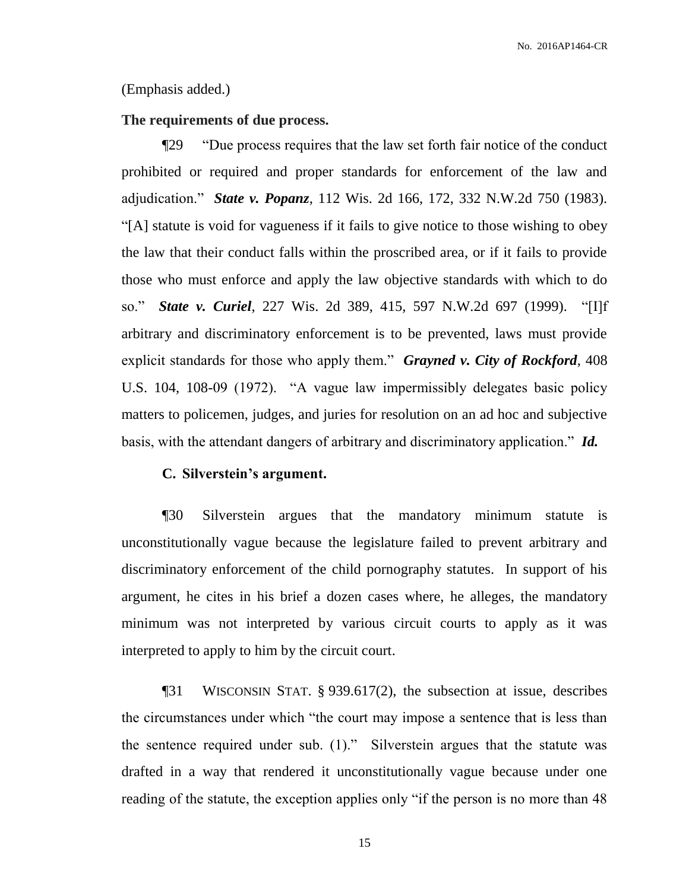#### (Emphasis added.)

#### **The requirements of due process.**

¶29 "Due process requires that the law set forth fair notice of the conduct prohibited or required and proper standards for enforcement of the law and adjudication." *State v. Popanz*, 112 Wis. 2d 166, 172, 332 N.W.2d 750 (1983). "[A] statute is void for vagueness if it fails to give notice to those wishing to obey the law that their conduct falls within the proscribed area, or if it fails to provide those who must enforce and apply the law objective standards with which to do so." *State v. Curiel*, 227 Wis. 2d 389, 415, 597 N.W.2d 697 (1999). "[I]f arbitrary and discriminatory enforcement is to be prevented, laws must provide explicit standards for those who apply them." *Grayned v. City of Rockford*, 408 U.S. 104, 108-09 (1972). "A vague law impermissibly delegates basic policy matters to policemen, judges, and juries for resolution on an ad hoc and subjective basis, with the attendant dangers of arbitrary and discriminatory application." *Id.*

#### **C. Silverstein's argument.**

¶30 Silverstein argues that the mandatory minimum statute is unconstitutionally vague because the legislature failed to prevent arbitrary and discriminatory enforcement of the child pornography statutes. In support of his argument, he cites in his brief a dozen cases where, he alleges, the mandatory minimum was not interpreted by various circuit courts to apply as it was interpreted to apply to him by the circuit court.

¶31 WISCONSIN STAT. § 939.617(2), the subsection at issue, describes the circumstances under which "the court may impose a sentence that is less than the sentence required under sub. (1)." Silverstein argues that the statute was drafted in a way that rendered it unconstitutionally vague because under one reading of the statute, the exception applies only "if the person is no more than 48